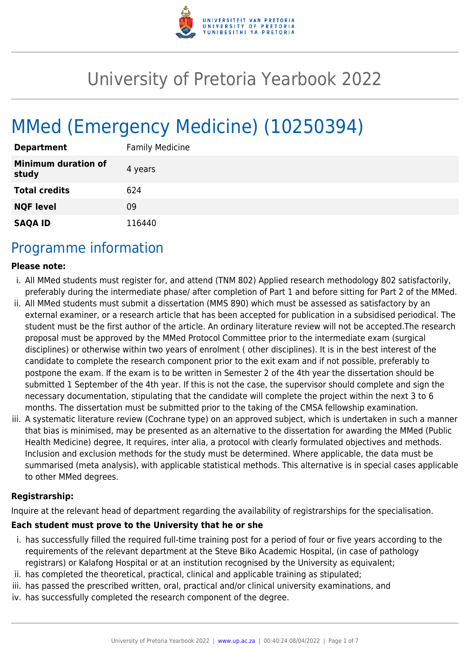

# University of Pretoria Yearbook 2022

# MMed (Emergency Medicine) (10250394)

| <b>Department</b>                   | <b>Family Medicine</b> |
|-------------------------------------|------------------------|
| <b>Minimum duration of</b><br>study | 4 years                |
| <b>Total credits</b>                | 624                    |
| <b>NQF level</b>                    | 09                     |
| <b>SAQA ID</b>                      | 116440                 |

## Programme information

#### **Please note:**

- i. All MMed students must register for, and attend (TNM 802) Applied research methodology 802 satisfactorily, preferably during the intermediate phase/ after completion of Part 1 and before sitting for Part 2 of the MMed.
- ii. All MMed students must submit a dissertation (MMS 890) which must be assessed as satisfactory by an external examiner, or a research article that has been accepted for publication in a subsidised periodical. The student must be the first author of the article. An ordinary literature review will not be accepted.The research proposal must be approved by the MMed Protocol Committee prior to the intermediate exam (surgical disciplines) or otherwise within two years of enrolment ( other disciplines). It is in the best interest of the candidate to complete the research component prior to the exit exam and if not possible, preferably to postpone the exam. If the exam is to be written in Semester 2 of the 4th year the dissertation should be submitted 1 September of the 4th year. If this is not the case, the supervisor should complete and sign the necessary documentation, stipulating that the candidate will complete the project within the next 3 to 6 months. The dissertation must be submitted prior to the taking of the CMSA fellowship examination.
- iii. A systematic literature review (Cochrane type) on an approved subject, which is undertaken in such a manner that bias is minimised, may be presented as an alternative to the dissertation for awarding the MMed (Public Health Medicine) degree, It requires, inter alia, a protocol with clearly formulated objectives and methods. Inclusion and exclusion methods for the study must be determined. Where applicable, the data must be summarised (meta analysis), with applicable statistical methods. This alternative is in special cases applicable to other MMed degrees.

#### **Registrarship:**

Inquire at the relevant head of department regarding the availability of registrarships for the specialisation.

#### **Each student must prove to the University that he or she**

- i. has successfully filled the required full-time training post for a period of four or five years according to the requirements of the relevant department at the Steve Biko Academic Hospital, (in case of pathology registrars) or Kalafong Hospital or at an institution recognised by the University as equivalent;
- ii. has completed the theoretical, practical, clinical and applicable training as stipulated;
- iii. has passed the prescribed written, oral, practical and/or clinical university examinations, and
- iv. has successfully completed the research component of the degree.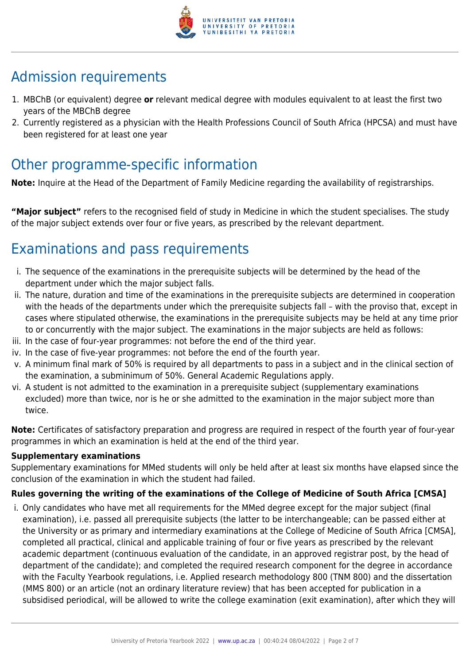

# Admission requirements

- 1. MBChB (or equivalent) degree **or** relevant medical degree with modules equivalent to at least the first two years of the MBChB degree
- 2. Currently registered as a physician with the Health Professions Council of South Africa (HPCSA) and must have been registered for at least one year

## Other programme-specific information

**Note:** Inquire at the Head of the Department of Family Medicine regarding the availability of registrarships.

**"Major subject"** refers to the recognised field of study in Medicine in which the student specialises. The study of the major subject extends over four or five years, as prescribed by the relevant department.

# Examinations and pass requirements

- i. The sequence of the examinations in the prerequisite subjects will be determined by the head of the department under which the major subject falls.
- ii. The nature, duration and time of the examinations in the prerequisite subjects are determined in cooperation with the heads of the departments under which the prerequisite subjects fall – with the proviso that, except in cases where stipulated otherwise, the examinations in the prerequisite subjects may be held at any time prior to or concurrently with the major subject. The examinations in the major subjects are held as follows:
- iii. In the case of four-year programmes: not before the end of the third year.
- iv. In the case of five-year programmes: not before the end of the fourth year.
- v. A minimum final mark of 50% is required by all departments to pass in a subject and in the clinical section of the examination, a subminimum of 50%. General Academic Regulations apply.
- vi. A student is not admitted to the examination in a prerequisite subject (supplementary examinations excluded) more than twice, nor is he or she admitted to the examination in the major subject more than twice.

**Note:** Certificates of satisfactory preparation and progress are required in respect of the fourth year of four-year programmes in which an examination is held at the end of the third year.

#### **Supplementary examinations**

Supplementary examinations for MMed students will only be held after at least six months have elapsed since the conclusion of the examination in which the student had failed.

### **Rules governing the writing of the examinations of the College of Medicine of South Africa [CMSA]**

i. Only candidates who have met all requirements for the MMed degree except for the major subject (final examination), i.e. passed all prerequisite subjects (the latter to be interchangeable; can be passed either at the University or as primary and intermediary examinations at the College of Medicine of South Africa [CMSA], completed all practical, clinical and applicable training of four or five years as prescribed by the relevant academic department (continuous evaluation of the candidate, in an approved registrar post, by the head of department of the candidate); and completed the required research component for the degree in accordance with the Faculty Yearbook regulations, i.e. Applied research methodology 800 (TNM 800) and the dissertation (MMS 800) or an article (not an ordinary literature review) that has been accepted for publication in a subsidised periodical, will be allowed to write the college examination (exit examination), after which they will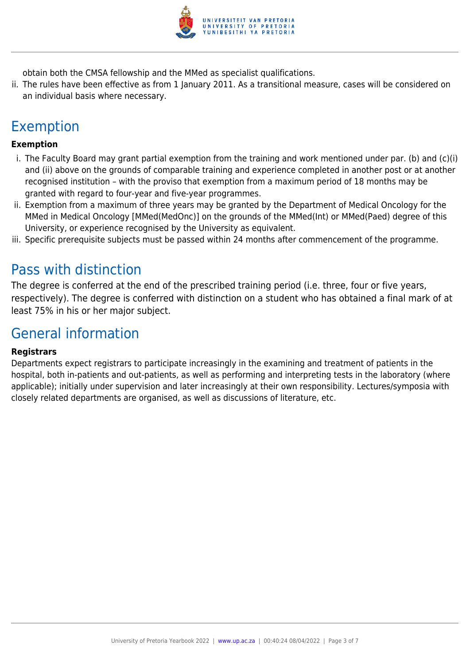

obtain both the CMSA fellowship and the MMed as specialist qualifications.

ii. The rules have been effective as from 1 January 2011. As a transitional measure, cases will be considered on an individual basis where necessary.

# Exemption

#### **Exemption**

- i. The Faculty Board may grant partial exemption from the training and work mentioned under par. (b) and (c)(i) and (ii) above on the grounds of comparable training and experience completed in another post or at another recognised institution – with the proviso that exemption from a maximum period of 18 months may be granted with regard to four-year and five-year programmes.
- ii. Exemption from a maximum of three years may be granted by the Department of Medical Oncology for the MMed in Medical Oncology [MMed(MedOnc)] on the grounds of the MMed(Int) or MMed(Paed) degree of this University, or experience recognised by the University as equivalent.
- iii. Specific prerequisite subjects must be passed within 24 months after commencement of the programme.

### Pass with distinction

The degree is conferred at the end of the prescribed training period (i.e. three, four or five years, respectively). The degree is conferred with distinction on a student who has obtained a final mark of at least 75% in his or her major subject.

### General information

#### **Registrars**

Departments expect registrars to participate increasingly in the examining and treatment of patients in the hospital, both in-patients and out-patients, as well as performing and interpreting tests in the laboratory (where applicable); initially under supervision and later increasingly at their own responsibility. Lectures/symposia with closely related departments are organised, as well as discussions of literature, etc.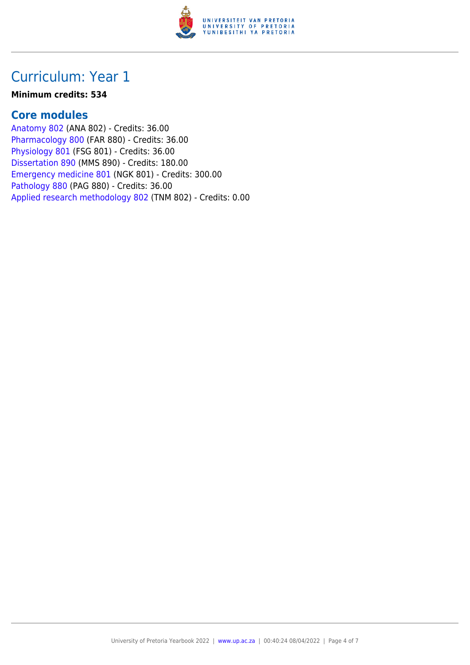

## Curriculum: Year 1

#### **Minimum credits: 534**

### **Core modules**

[Anatomy 802](https://www.up.ac.za/faculty-of-education/yearbooks/2022/modules/view/ANA 802) (ANA 802) - Credits: 36.00 [Pharmacology 800](https://www.up.ac.za/faculty-of-education/yearbooks/2022/modules/view/FAR 880) (FAR 880) - Credits: 36.00 [Physiology 801](https://www.up.ac.za/faculty-of-education/yearbooks/2022/modules/view/FSG 801) (FSG 801) - Credits: 36.00 [Dissertation 890](https://www.up.ac.za/faculty-of-education/yearbooks/2022/modules/view/MMS 890) (MMS 890) - Credits: 180.00 [Emergency medicine 801](https://www.up.ac.za/faculty-of-education/yearbooks/2022/modules/view/NGK 801) (NGK 801) - Credits: 300.00 [Pathology 880](https://www.up.ac.za/faculty-of-education/yearbooks/2022/modules/view/PAG 880) (PAG 880) - Credits: 36.00 [Applied research methodology 802](https://www.up.ac.za/faculty-of-education/yearbooks/2022/modules/view/TNM 802) (TNM 802) - Credits: 0.00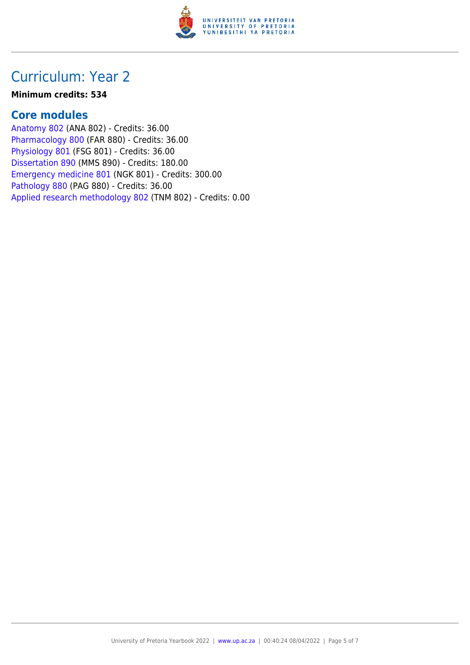

## Curriculum: Year 2

#### **Minimum credits: 534**

### **Core modules**

[Anatomy 802](https://www.up.ac.za/faculty-of-education/yearbooks/2022/modules/view/ANA 802) (ANA 802) - Credits: 36.00 [Pharmacology 800](https://www.up.ac.za/faculty-of-education/yearbooks/2022/modules/view/FAR 880) (FAR 880) - Credits: 36.00 [Physiology 801](https://www.up.ac.za/faculty-of-education/yearbooks/2022/modules/view/FSG 801) (FSG 801) - Credits: 36.00 [Dissertation 890](https://www.up.ac.za/faculty-of-education/yearbooks/2022/modules/view/MMS 890) (MMS 890) - Credits: 180.00 [Emergency medicine 801](https://www.up.ac.za/faculty-of-education/yearbooks/2022/modules/view/NGK 801) (NGK 801) - Credits: 300.00 [Pathology 880](https://www.up.ac.za/faculty-of-education/yearbooks/2022/modules/view/PAG 880) (PAG 880) - Credits: 36.00 [Applied research methodology 802](https://www.up.ac.za/faculty-of-education/yearbooks/2022/modules/view/TNM 802) (TNM 802) - Credits: 0.00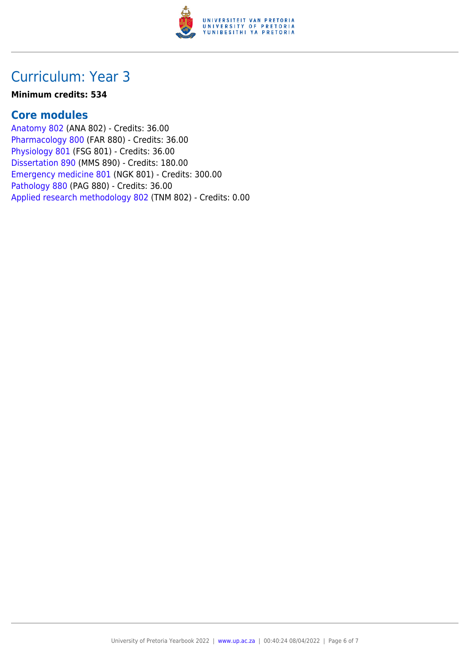

## Curriculum: Year 3

#### **Minimum credits: 534**

### **Core modules**

[Anatomy 802](https://www.up.ac.za/faculty-of-education/yearbooks/2022/modules/view/ANA 802) (ANA 802) - Credits: 36.00 [Pharmacology 800](https://www.up.ac.za/faculty-of-education/yearbooks/2022/modules/view/FAR 880) (FAR 880) - Credits: 36.00 [Physiology 801](https://www.up.ac.za/faculty-of-education/yearbooks/2022/modules/view/FSG 801) (FSG 801) - Credits: 36.00 [Dissertation 890](https://www.up.ac.za/faculty-of-education/yearbooks/2022/modules/view/MMS 890) (MMS 890) - Credits: 180.00 [Emergency medicine 801](https://www.up.ac.za/faculty-of-education/yearbooks/2022/modules/view/NGK 801) (NGK 801) - Credits: 300.00 [Pathology 880](https://www.up.ac.za/faculty-of-education/yearbooks/2022/modules/view/PAG 880) (PAG 880) - Credits: 36.00 [Applied research methodology 802](https://www.up.ac.za/faculty-of-education/yearbooks/2022/modules/view/TNM 802) (TNM 802) - Credits: 0.00